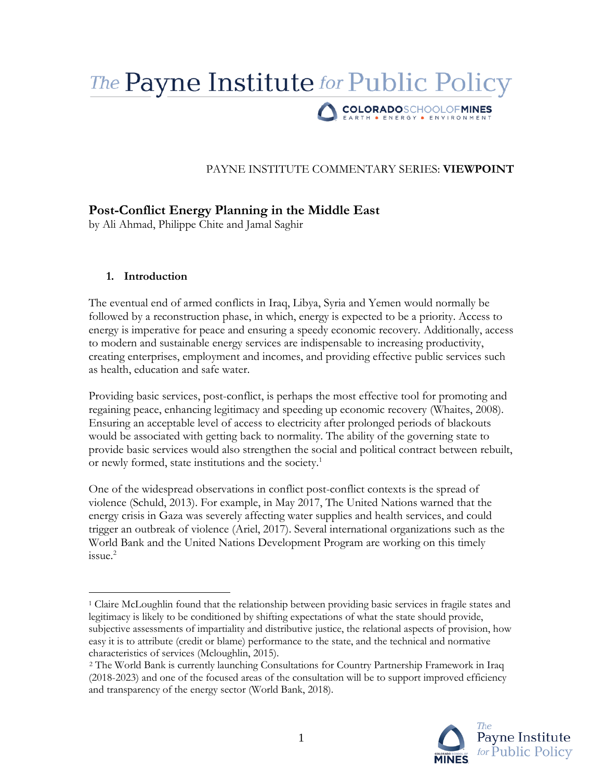# The **Payne Institute** for Public Policy COLORADOSCHOOLOFMINES

## PAYNE INSTITUTE COMMENTARY SERIES: **VIEWPOINT**

# **Post-Conflict Energy Planning in the Middle East**

by Ali Ahmad, Philippe Chite and Jamal Saghir

## **1. Introduction**

 $\overline{a}$ 

The eventual end of armed conflicts in Iraq, Libya, Syria and Yemen would normally be followed by a reconstruction phase, in which, energy is expected to be a priority. Access to energy is imperative for peace and ensuring a speedy economic recovery. Additionally, access to modern and sustainable energy services are indispensable to increasing productivity, creating enterprises, employment and incomes, and providing effective public services such as health, education and safe water.

Providing basic services, post-conflict, is perhaps the most effective tool for promoting and regaining peace, enhancing legitimacy and speeding up economic recovery (Whaites, 2008). Ensuring an acceptable level of access to electricity after prolonged periods of blackouts would be associated with getting back to normality. The ability of the governing state to provide basic services would also strengthen the social and political contract between rebuilt, or newly formed, state institutions and the society.<sup>1</sup>

One of the widespread observations in conflict post-conflict contexts is the spread of violence (Schuld, 2013). For example, in May 2017, The United Nations warned that the energy crisis in Gaza was severely affecting water supplies and health services, and could trigger an outbreak of violence (Ariel, 2017). Several international organizations such as the World Bank and the United Nations Development Program are working on this timely issue.<sup>2</sup>

<sup>2</sup> The World Bank is currently launching Consultations for Country Partnership Framework in Iraq (2018-2023) and one of the focused areas of the consultation will be to support improved efficiency and transparency of the energy sector (World Bank, 2018).



<sup>1</sup> Claire McLoughlin found that the relationship between providing basic services in fragile states and legitimacy is likely to be conditioned by shifting expectations of what the state should provide, subjective assessments of impartiality and distributive justice, the relational aspects of provision, how easy it is to attribute (credit or blame) performance to the state, and the technical and normative characteristics of services (Mcloughlin, 2015).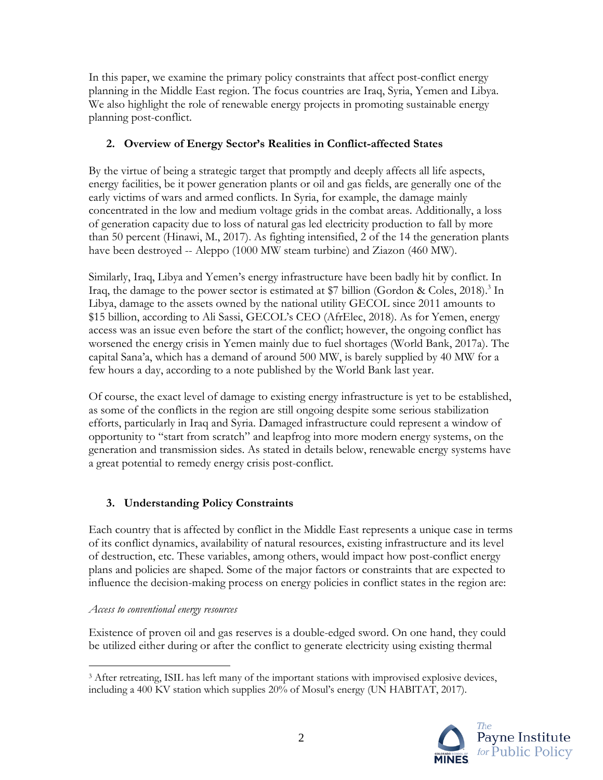In this paper, we examine the primary policy constraints that affect post-conflict energy planning in the Middle East region. The focus countries are Iraq, Syria, Yemen and Libya. We also highlight the role of renewable energy projects in promoting sustainable energy planning post-conflict.

## **2. Overview of Energy Sector's Realities in Conflict-affected States**

By the virtue of being a strategic target that promptly and deeply affects all life aspects, energy facilities, be it power generation plants or oil and gas fields, are generally one of the early victims of wars and armed conflicts. In Syria, for example, the damage mainly concentrated in the low and medium voltage grids in the combat areas. Additionally, a loss of generation capacity due to loss of natural gas led electricity production to fall by more than 50 percent (Hinawi, M., 2017). As fighting intensified, 2 of the 14 the generation plants have been destroyed -- Aleppo (1000 MW steam turbine) and Ziazon (460 MW).

Similarly, Iraq, Libya and Yemen's energy infrastructure have been badly hit by conflict. In Iraq, the damage to the power sector is estimated at \$7 billion (Gordon & Coles, 2018).<sup>3</sup> In Libya, damage to the assets owned by the national utility GECOL since 2011 amounts to \$15 billion, according to Ali Sassi, GECOL's CEO (AfrElec, 2018). As for Yemen, energy access was an issue even before the start of the conflict; however, the ongoing conflict has worsened the energy crisis in Yemen mainly due to fuel shortages (World Bank, 2017a). The capital Sana'a, which has a demand of around 500 MW, is barely supplied by 40 MW for a few hours a day, according to a note published by the World Bank last year.

Of course, the exact level of damage to existing energy infrastructure is yet to be established, as some of the conflicts in the region are still ongoing despite some serious stabilization efforts, particularly in Iraq and Syria. Damaged infrastructure could represent a window of opportunity to "start from scratch" and leapfrog into more modern energy systems, on the generation and transmission sides. As stated in details below, renewable energy systems have a great potential to remedy energy crisis post-conflict.

## **3. Understanding Policy Constraints**

Each country that is affected by conflict in the Middle East represents a unique case in terms of its conflict dynamics, availability of natural resources, existing infrastructure and its level of destruction, etc. These variables, among others, would impact how post-conflict energy plans and policies are shaped. Some of the major factors or constraints that are expected to influence the decision-making process on energy policies in conflict states in the region are:

## *Access to conventional energy resources*

Existence of proven oil and gas reserves is a double-edged sword. On one hand, they could be utilized either during or after the conflict to generate electricity using existing thermal

 $\overline{a}$ <sup>3</sup> After retreating, ISIL has left many of the important stations with improvised explosive devices, including a 400 KV station which supplies 20% of Mosul's energy (UN HABITAT, 2017).

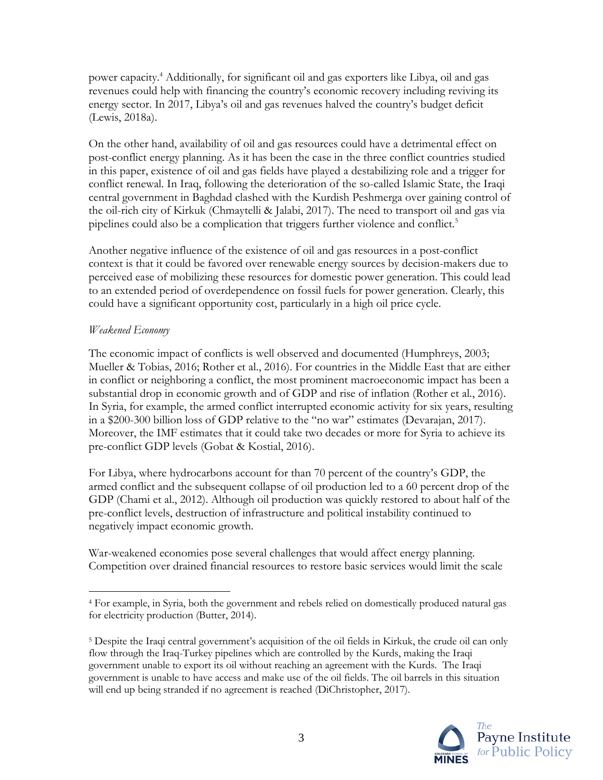power capacity. <sup>4</sup> Additionally, for significant oil and gas exporters like Libya, oil and gas revenues could help with financing the country's economic recovery including reviving its energy sector. In 2017, Libya's oil and gas revenues halved the country's budget deficit (Lewis, 2018a).

On the other hand, availability of oil and gas resources could have a detrimental effect on post-conflict energy planning. As it has been the case in the three conflict countries studied in this paper, existence of oil and gas fields have played a destabilizing role and a trigger for conflict renewal. In Iraq, following the deterioration of the so-called Islamic State, the Iraqi central government in Baghdad clashed with the Kurdish Peshmerga over gaining control of the oil-rich city of Kirkuk (Chmaytelli & Jalabi, 2017). The need to transport oil and gas via pipelines could also be a complication that triggers further violence and conflict.<sup>5</sup>

Another negative influence of the existence of oil and gas resources in a post-conflict context is that it could be favored over renewable energy sources by decision-makers due to perceived ease of mobilizing these resources for domestic power generation. This could lead to an extended period of overdependence on fossil fuels for power generation. Clearly, this could have a significant opportunity cost, particularly in a high oil price cycle.

#### *Weakened Economy*

The economic impact of conflicts is well observed and documented (Humphreys, 2003; Mueller & Tobias, 2016; Rother et al., 2016). For countries in the Middle East that are either in conflict or neighboring a conflict, the most prominent macroeconomic impact has been a substantial drop in economic growth and of GDP and rise of inflation (Rother et al., 2016). In Syria, for example, the armed conflict interrupted economic activity for six years, resulting in a \$200-300 billion loss of GDP relative to the "no war" estimates (Devarajan, 2017). Moreover, the IMF estimates that it could take two decades or more for Syria to achieve its pre-conflict GDP levels (Gobat & Kostial, 2016).

For Libya, where hydrocarbons account for than 70 percent of the country's GDP, the armed conflict and the subsequent collapse of oil production led to a 60 percent drop of the GDP (Chami et al., 2012). Although oil production was quickly restored to about half of the pre-conflict levels, destruction of infrastructure and political instability continued to negatively impact economic growth.

War-weakened economies pose several challenges that would affect energy planning. Competition over drained financial resources to restore basic services would limit the scale

<sup>5</sup> Despite the Iraqi central government's acquisition of the oil fields in Kirkuk, the crude oil can only flow through the Iraq-Turkey pipelines which are controlled by the Kurds, making the Iraqi government unable to export its oil without reaching an agreement with the Kurds. The Iraqi government is unable to have access and make use of the oil fields. The oil barrels in this situation will end up being stranded if no agreement is reached (DiChristopher, 2017).



 $\overline{a}$ <sup>4</sup> For example, in Syria, both the government and rebels relied on domestically produced natural gas for electricity production (Butter, 2014).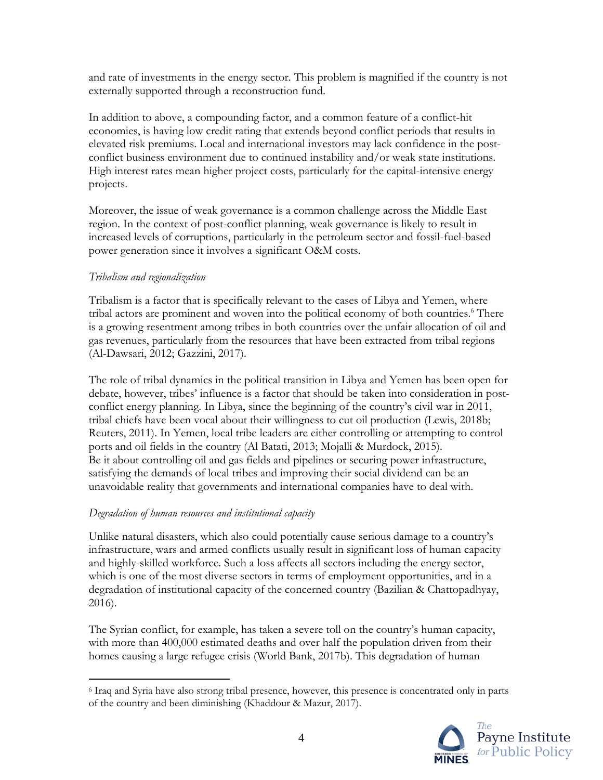and rate of investments in the energy sector. This problem is magnified if the country is not externally supported through a reconstruction fund.

In addition to above, a compounding factor, and a common feature of a conflict-hit economies, is having low credit rating that extends beyond conflict periods that results in elevated risk premiums. Local and international investors may lack confidence in the postconflict business environment due to continued instability and/or weak state institutions. High interest rates mean higher project costs, particularly for the capital-intensive energy projects.

Moreover, the issue of weak governance is a common challenge across the Middle East region. In the context of post-conflict planning, weak governance is likely to result in increased levels of corruptions, particularly in the petroleum sector and fossil-fuel-based power generation since it involves a significant O&M costs.

#### *Tribalism and regionalization*

 $\overline{a}$ 

Tribalism is a factor that is specifically relevant to the cases of Libya and Yemen, where tribal actors are prominent and woven into the political economy of both countries. <sup>6</sup> There is a growing resentment among tribes in both countries over the unfair allocation of oil and gas revenues, particularly from the resources that have been extracted from tribal regions (Al-Dawsari, 2012; Gazzini, 2017).

The role of tribal dynamics in the political transition in Libya and Yemen has been open for debate, however, tribes' influence is a factor that should be taken into consideration in postconflict energy planning. In Libya, since the beginning of the country's civil war in 2011, tribal chiefs have been vocal about their willingness to cut oil production (Lewis, 2018b; Reuters, 2011). In Yemen, local tribe leaders are either controlling or attempting to control ports and oil fields in the country (Al Batati, 2013; Mojalli & Murdock, 2015). Be it about controlling oil and gas fields and pipelines or securing power infrastructure, satisfying the demands of local tribes and improving their social dividend can be an unavoidable reality that governments and international companies have to deal with.

#### *Degradation of human resources and institutional capacity*

Unlike natural disasters, which also could potentially cause serious damage to a country's infrastructure, wars and armed conflicts usually result in significant loss of human capacity and highly-skilled workforce. Such a loss affects all sectors including the energy sector, which is one of the most diverse sectors in terms of employment opportunities, and in a degradation of institutional capacity of the concerned country (Bazilian & Chattopadhyay, 2016).

The Syrian conflict, for example, has taken a severe toll on the country's human capacity, with more than 400,000 estimated deaths and over half the population driven from their homes causing a large refugee crisis (World Bank, 2017b). This degradation of human

<sup>6</sup> Iraq and Syria have also strong tribal presence, however, this presence is concentrated only in parts of the country and been diminishing (Khaddour & Mazur, 2017).

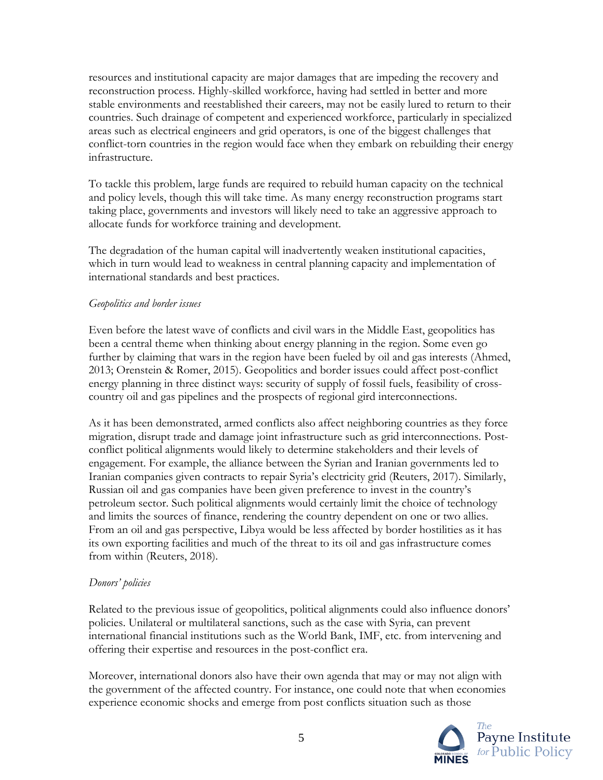resources and institutional capacity are major damages that are impeding the recovery and reconstruction process. Highly-skilled workforce, having had settled in better and more stable environments and reestablished their careers, may not be easily lured to return to their countries. Such drainage of competent and experienced workforce, particularly in specialized areas such as electrical engineers and grid operators, is one of the biggest challenges that conflict-torn countries in the region would face when they embark on rebuilding their energy infrastructure.

To tackle this problem, large funds are required to rebuild human capacity on the technical and policy levels, though this will take time. As many energy reconstruction programs start taking place, governments and investors will likely need to take an aggressive approach to allocate funds for workforce training and development.

The degradation of the human capital will inadvertently weaken institutional capacities, which in turn would lead to weakness in central planning capacity and implementation of international standards and best practices.

#### *Geopolitics and border issues*

Even before the latest wave of conflicts and civil wars in the Middle East, geopolitics has been a central theme when thinking about energy planning in the region. Some even go further by claiming that wars in the region have been fueled by oil and gas interests (Ahmed, 2013; Orenstein & Romer, 2015). Geopolitics and border issues could affect post-conflict energy planning in three distinct ways: security of supply of fossil fuels, feasibility of crosscountry oil and gas pipelines and the prospects of regional gird interconnections.

As it has been demonstrated, armed conflicts also affect neighboring countries as they force migration, disrupt trade and damage joint infrastructure such as grid interconnections. Postconflict political alignments would likely to determine stakeholders and their levels of engagement. For example, the alliance between the Syrian and Iranian governments led to Iranian companies given contracts to repair Syria's electricity grid (Reuters, 2017). Similarly, Russian oil and gas companies have been given preference to invest in the country's petroleum sector. Such political alignments would certainly limit the choice of technology and limits the sources of finance, rendering the country dependent on one or two allies. From an oil and gas perspective, Libya would be less affected by border hostilities as it has its own exporting facilities and much of the threat to its oil and gas infrastructure comes from within (Reuters, 2018).

## *Donors' policies*

Related to the previous issue of geopolitics, political alignments could also influence donors' policies. Unilateral or multilateral sanctions, such as the case with Syria, can prevent international financial institutions such as the World Bank, IMF, etc. from intervening and offering their expertise and resources in the post-conflict era.

Moreover, international donors also have their own agenda that may or may not align with the government of the affected country. For instance, one could note that when economies experience economic shocks and emerge from post conflicts situation such as those

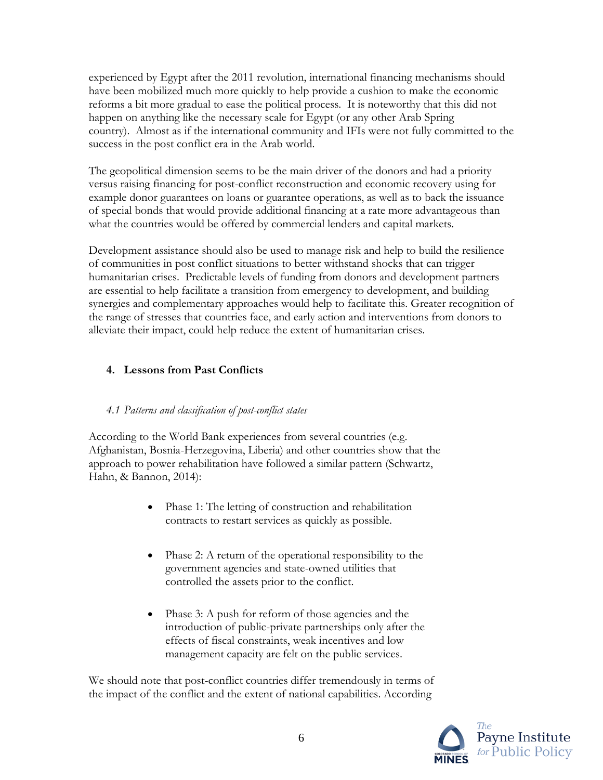experienced by Egypt after the 2011 revolution, international financing mechanisms should have been mobilized much more quickly to help provide a cushion to make the economic reforms a bit more gradual to ease the political process. It is noteworthy that this did not happen on anything like the necessary scale for Egypt (or any other Arab Spring country). Almost as if the international community and IFIs were not fully committed to the success in the post conflict era in the Arab world.

The geopolitical dimension seems to be the main driver of the donors and had a priority versus raising financing for post-conflict reconstruction and economic recovery using for example donor guarantees on loans or guarantee operations, as well as to back the issuance of special bonds that would provide additional financing at a rate more advantageous than what the countries would be offered by commercial lenders and capital markets.

Development assistance should also be used to manage risk and help to build the resilience of communities in post conflict situations to better withstand shocks that can trigger humanitarian crises. Predictable levels of funding from donors and development partners are essential to help facilitate a transition from emergency to development, and building synergies and complementary approaches would help to facilitate this. Greater recognition of the range of stresses that countries face, and early action and interventions from donors to alleviate their impact, could help reduce the extent of humanitarian crises.

## **4. Lessons from Past Conflicts**

## *4.1 Patterns and classification of post-conflict states*

According to the World Bank experiences from several countries (e.g. Afghanistan, Bosnia-Herzegovina, Liberia) and other countries show that the approach to power rehabilitation have followed a similar pattern (Schwartz, Hahn, & Bannon, 2014):

- Phase 1: The letting of construction and rehabilitation contracts to restart services as quickly as possible.
- Phase 2: A return of the operational responsibility to the government agencies and state-owned utilities that controlled the assets prior to the conflict.
- Phase 3: A push for reform of those agencies and the introduction of public-private partnerships only after the effects of fiscal constraints, weak incentives and low management capacity are felt on the public services.

We should note that post-conflict countries differ tremendously in terms of the impact of the conflict and the extent of national capabilities. According

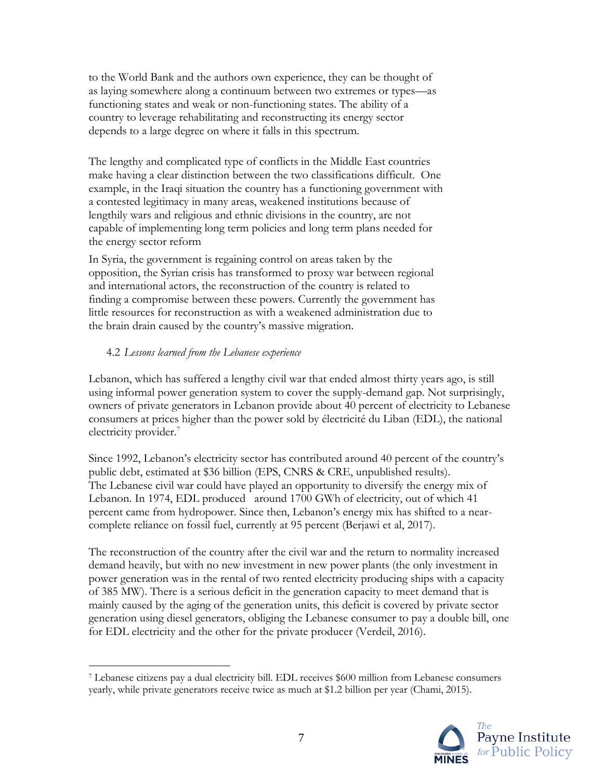to the World Bank and the authors own experience, they can be thought of as laying somewhere along a continuum between two extremes or types—as functioning states and weak or non-functioning states. The ability of a country to leverage rehabilitating and reconstructing its energy sector depends to a large degree on where it falls in this spectrum.

The lengthy and complicated type of conflicts in the Middle East countries make having a clear distinction between the two classifications difficult. One example, in the Iraqi situation the country has a functioning government with a contested legitimacy in many areas, weakened institutions because of lengthily wars and religious and ethnic divisions in the country, are not capable of implementing long term policies and long term plans needed for the energy sector reform

In Syria, the government is regaining control on areas taken by the opposition, the Syrian crisis has transformed to proxy war between regional and international actors, the reconstruction of the country is related to finding a compromise between these powers. Currently the government has little resources for reconstruction as with a weakened administration due to the brain drain caused by the country's massive migration.

#### 4.2 *Lessons learned from the Lebanese experience*

 $\overline{a}$ 

Lebanon, which has suffered a lengthy civil war that ended almost thirty years ago, is still using informal power generation system to cover the supply-demand gap. Not surprisingly, owners of private generators in Lebanon provide about 40 percent of electricity to Lebanese consumers at prices higher than the power sold by électricité du Liban (EDL), the national electricity provider.<sup>7</sup>

Since 1992, Lebanon's electricity sector has contributed around 40 percent of the country's public debt, estimated at \$36 billion (EPS, CNRS & CRE, unpublished results). The Lebanese civil war could have played an opportunity to diversify the energy mix of Lebanon. In 1974, EDL produced around 1700 GWh of electricity, out of which 41 percent came from hydropower. Since then, Lebanon's energy mix has shifted to a nearcomplete reliance on fossil fuel, currently at 95 percent (Berjawi et al, 2017).

The reconstruction of the country after the civil war and the return to normality increased demand heavily, but with no new investment in new power plants (the only investment in power generation was in the rental of two rented electricity producing ships with a capacity of 385 MW). There is a serious deficit in the generation capacity to meet demand that is mainly caused by the aging of the generation units, this deficit is covered by private sector generation using diesel generators, obliging the Lebanese consumer to pay a double bill, one for EDL electricity and the other for the private producer (Verdeil, 2016).

<sup>7</sup> Lebanese citizens pay a dual electricity bill. EDL receives \$600 million from Lebanese consumers yearly, while private generators receive twice as much at \$1.2 billion per year (Chami, 2015).

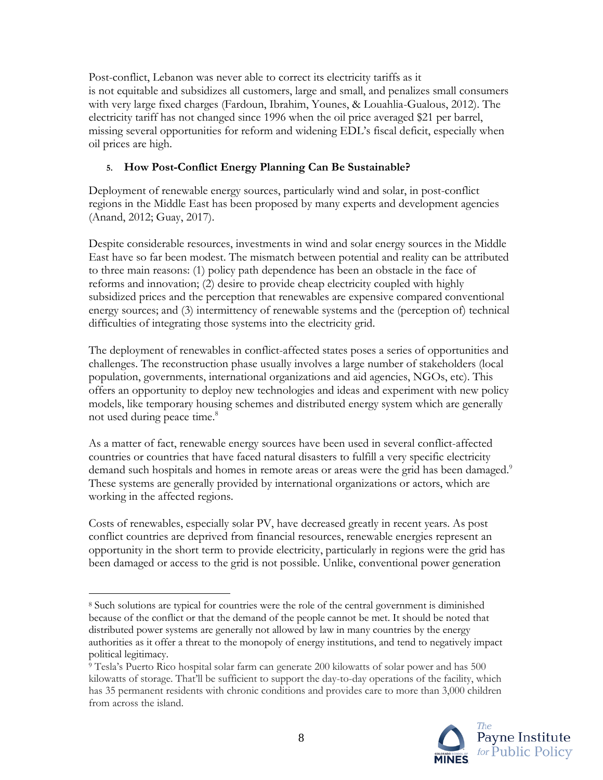Post-conflict, Lebanon was never able to correct its electricity tariffs as it is not equitable and subsidizes all customers, large and small, and penalizes small consumers with very large fixed charges (Fardoun, Ibrahim, Younes, & Louahlia-Gualous, 2012). The electricity tariff has not changed since 1996 when the oil price averaged \$21 per barrel, missing several opportunities for reform and widening EDL's fiscal deficit, especially when oil prices are high.

## **5. How Post-Conflict Energy Planning Can Be Sustainable?**

Deployment of renewable energy sources, particularly wind and solar, in post-conflict regions in the Middle East has been proposed by many experts and development agencies (Anand, 2012; Guay, 2017).

Despite considerable resources, investments in wind and solar energy sources in the Middle East have so far been modest. The mismatch between potential and reality can be attributed to three main reasons: (1) policy path dependence has been an obstacle in the face of reforms and innovation; (2) desire to provide cheap electricity coupled with highly subsidized prices and the perception that renewables are expensive compared conventional energy sources; and (3) intermittency of renewable systems and the (perception of) technical difficulties of integrating those systems into the electricity grid.

The deployment of renewables in conflict-affected states poses a series of opportunities and challenges. The reconstruction phase usually involves a large number of stakeholders (local population, governments, international organizations and aid agencies, NGOs, etc). This offers an opportunity to deploy new technologies and ideas and experiment with new policy models, like temporary housing schemes and distributed energy system which are generally not used during peace time. 8

As a matter of fact, renewable energy sources have been used in several conflict-affected countries or countries that have faced natural disasters to fulfill a very specific electricity demand such hospitals and homes in remote areas or areas were the grid has been damaged.<sup>9</sup> These systems are generally provided by international organizations or actors, which are working in the affected regions.

Costs of renewables, especially solar PV, have decreased greatly in recent years. As post conflict countries are deprived from financial resources, renewable energies represent an opportunity in the short term to provide electricity, particularly in regions were the grid has been damaged or access to the grid is not possible. Unlike, conventional power generation

<sup>9</sup> Tesla's Puerto Rico hospital solar farm can generate 200 kilowatts of solar power and has 500 kilowatts of storage. That'll be sufficient to support the day-to-day operations of the facility, which has 35 permanent residents with chronic conditions and provides care to more than 3,000 children from across the island.



 $\overline{a}$ <sup>8</sup> Such solutions are typical for countries were the role of the central government is diminished because of the conflict or that the demand of the people cannot be met. It should be noted that distributed power systems are generally not allowed by law in many countries by the energy authorities as it offer a threat to the monopoly of energy institutions, and tend to negatively impact political legitimacy.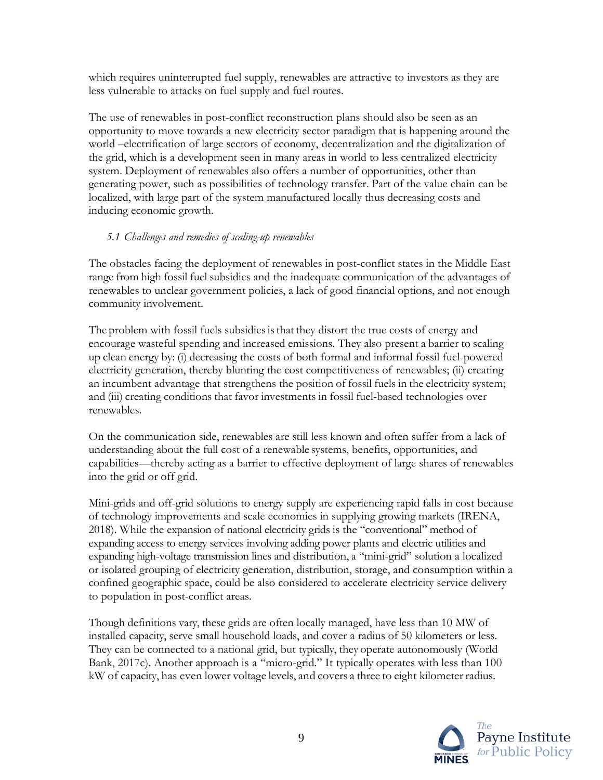which requires uninterrupted fuel supply, renewables are attractive to investors as they are less vulnerable to attacks on fuel supply and fuel routes.

The use of renewables in post-conflict reconstruction plans should also be seen as an opportunity to move towards a new electricity sector paradigm that is happening around the world –electrification of large sectors of economy, decentralization and the digitalization of the grid, which is a development seen in many areas in world to less centralized electricity system. Deployment of renewables also offers a number of opportunities, other than generating power, such as possibilities of technology transfer. Part of the value chain can be localized, with large part of the system manufactured locally thus decreasing costs and inducing economic growth.

## *5.1 Challenges and remedies of scaling-up renewables*

The obstacles facing the deployment of renewables in post-conflict states in the Middle East range from high fossil fuel subsidies and the inadequate communication of the advantages of renewables to unclear government policies, a lack of good financial options, and not enough community involvement.

The problem with fossil fuels subsidies is that they distort the true costs of energy and encourage wasteful spending and increased emissions. They also present a barrier to scaling up clean energy by: (i) decreasing the costs of both formal and informal fossil fuel-powered electricity generation, thereby blunting the cost competitiveness of renewables; (ii) creating an incumbent advantage that strengthens the position of fossil fuels in the electricity system; and (iii) creating conditions that favor investments in fossil fuel-based technologies over renewables.

On the communication side, renewables are still less known and often suffer from a lack of understanding about the full cost of a renewable systems, benefits, opportunities, and capabilities—thereby acting as a barrier to effective deployment of large shares of renewables into the grid or off grid.

Mini-grids and off-grid solutions to energy supply are experiencing rapid falls in cost because of technology improvements and scale economies in supplying growing markets (IRENA, 2018). While the expansion of national electricity grids is the "conventional" method of expanding access to energy services involving adding power plants and electric utilities and expanding high-voltage transmission lines and distribution, a "mini-grid" solution a localized or isolated grouping of electricity generation, distribution, storage, and consumption within a confined geographic space, could be also considered to accelerate electricity service delivery to population in post-conflict areas.

Though definitions vary, these grids are often locally managed, have less than 10 MW of installed capacity, serve small household loads, and cover a radius of 50 kilometers or less. They can be connected to a national grid, but typically, they operate autonomously (World Bank, 2017c). Another approach is a "micro-grid." It typically operates with less than 100 kW of capacity, has even lower voltage levels, and covers a three to eight kilometer radius.

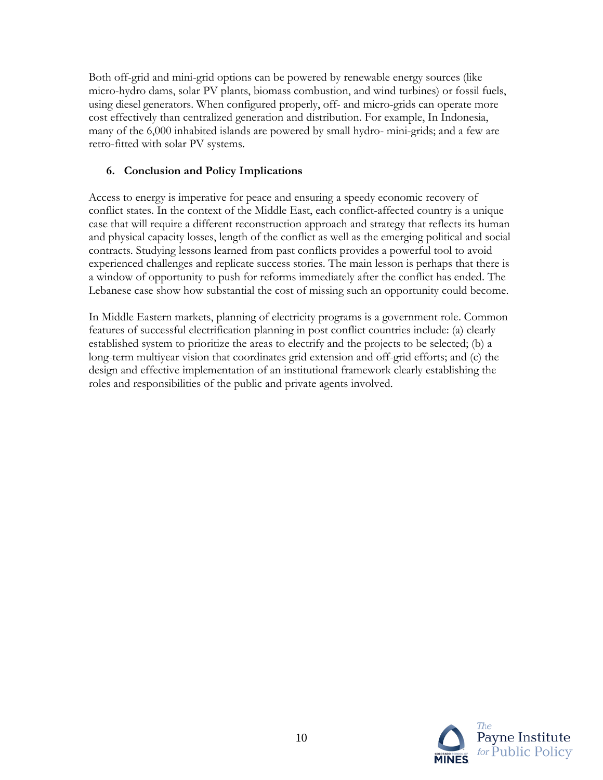Both off-grid and mini-grid options can be powered by renewable energy sources (like micro-hydro dams, solar PV plants, biomass combustion, and wind turbines) or fossil fuels, using diesel generators. When configured properly, off- and micro-grids can operate more cost effectively than centralized generation and distribution. For example, In Indonesia, many of the 6,000 inhabited islands are powered by small hydro- mini-grids; and a few are retro-fitted with solar PV systems.

## **6. Conclusion and Policy Implications**

Access to energy is imperative for peace and ensuring a speedy economic recovery of conflict states. In the context of the Middle East, each conflict-affected country is a unique case that will require a different reconstruction approach and strategy that reflects its human and physical capacity losses, length of the conflict as well as the emerging political and social contracts. Studying lessons learned from past conflicts provides a powerful tool to avoid experienced challenges and replicate success stories. The main lesson is perhaps that there is a window of opportunity to push for reforms immediately after the conflict has ended. The Lebanese case show how substantial the cost of missing such an opportunity could become.

In Middle Eastern markets, planning of electricity programs is a government role. Common features of successful electrification planning in post conflict countries include: (a) clearly established system to prioritize the areas to electrify and the projects to be selected; (b) a long-term multiyear vision that coordinates grid extension and off-grid efforts; and (c) the design and effective implementation of an institutional framework clearly establishing the roles and responsibilities of the public and private agents involved.

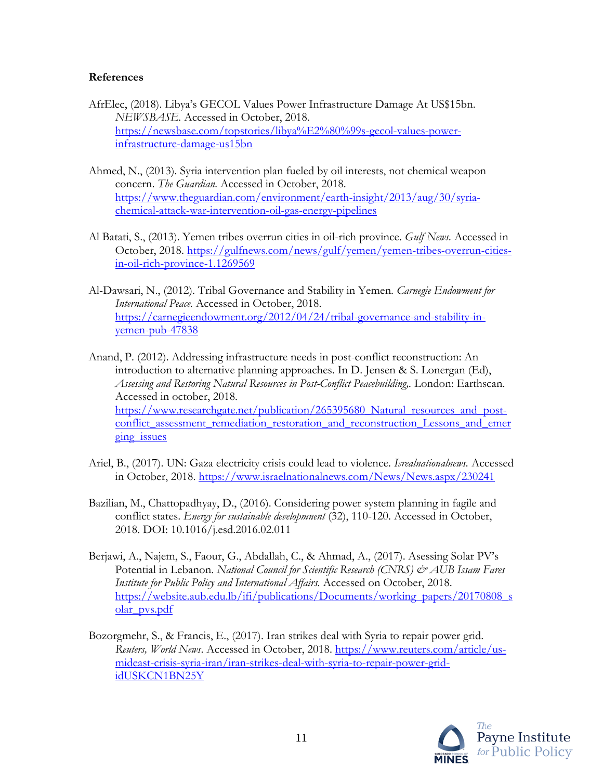#### **References**

- AfrElec, (2018). Libya's GECOL Values Power Infrastructure Damage At US\$15bn. *NEWSBASE.* Accessed in October, 2018. [https://newsbase.com/topstories/libya%E2%80%99s-gecol-values-power](https://newsbase.com/topstories/libya%E2%80%99s-gecol-values-power-infrastructure-damage-us15bn)[infrastructure-damage-us15bn](https://newsbase.com/topstories/libya%E2%80%99s-gecol-values-power-infrastructure-damage-us15bn)
- Ahmed, N., (2013). Syria intervention plan fueled by oil interests, not chemical weapon concern. *The Guardian.* Accessed in October, 2018. [https://www.theguardian.com/environment/earth-insight/2013/aug/30/syria](https://www.theguardian.com/environment/earth-insight/2013/aug/30/syria-chemical-attack-war-intervention-oil-gas-energy-pipelines)[chemical-attack-war-intervention-oil-gas-energy-pipelines](https://www.theguardian.com/environment/earth-insight/2013/aug/30/syria-chemical-attack-war-intervention-oil-gas-energy-pipelines)
- Al Batati, S., (2013). Yemen tribes overrun cities in oil-rich province. *Gulf News.* Accessed in October, 2018. [https://gulfnews.com/news/gulf/yemen/yemen-tribes-overrun-cities](https://gulfnews.com/news/gulf/yemen/yemen-tribes-overrun-cities-in-oil-rich-province-1.1269569)[in-oil-rich-province-1.1269569](https://gulfnews.com/news/gulf/yemen/yemen-tribes-overrun-cities-in-oil-rich-province-1.1269569)
- Al-Dawsari, N., (2012). Tribal Governance and Stability in Yemen. *Carnegie Endowment for International Peace.* Accessed in October, 2018. [https://carnegieendowment.org/2012/04/24/tribal-governance-and-stability-in](https://carnegieendowment.org/2012/04/24/tribal-governance-and-stability-in-yemen-pub-47838)[yemen-pub-47838](https://carnegieendowment.org/2012/04/24/tribal-governance-and-stability-in-yemen-pub-47838)
- Anand, P. (2012). Addressing infrastructure needs in post-conflict reconstruction: An introduction to alternative planning approaches. In D. Jensen & S. Lonergan (Ed), *Assessing and Restoring Natural Resources in Post-Conflict Peacebuilding,.* London: Earthscan. Accessed in october, 2018. https://www.researchgate.net/publication/265395680 Natural resources and post[conflict\\_assessment\\_remediation\\_restoration\\_and\\_reconstruction\\_Lessons\\_and\\_emer](https://www.researchgate.net/publication/265395680_Natural_resources_and_post-conflict_assessment_remediation_restoration_and_reconstruction_Lessons_and_emerging_issues) ging issues
- Ariel, B., (2017). UN: Gaza electricity crisis could lead to violence. *Isrealnationalnews.* Accessed in October, 2018.<https://www.israelnationalnews.com/News/News.aspx/230241>
- Bazilian, M., Chattopadhyay, D., (2016). Considering power system planning in fagile and conflict states. *Energy for sustainable developmnent* (32), 110-120. Accessed in October, 2018. DOI: 10.1016/j.esd.2016.02.011
- Berjawi, A., Najem, S., Faour, G., Abdallah, C., & Ahmad, A., (2017). Asessing Solar PV's Potential in Lebanon. *National Council for Scientific Research (CNRS) & AUB Issam Fares Institute for Public Policy and International Affairs.* Accessed on October, 2018. [https://website.aub.edu.lb/ifi/publications/Documents/working\\_papers/20170808\\_s](https://website.aub.edu.lb/ifi/publications/Documents/working_papers/20170808_solar_pvs.pdf) [olar\\_pvs.pdf](https://website.aub.edu.lb/ifi/publications/Documents/working_papers/20170808_solar_pvs.pdf)
- Bozorgmehr, S., & Francis, E., (2017). Iran strikes deal with Syria to repair power grid. *Reuters, World News*. Accessed in October, 2018. [https://www.reuters.com/article/us](https://www.reuters.com/article/us-mideast-crisis-syria-iran/iran-strikes-deal-with-syria-to-repair-power-grid-idUSKCN1BN25Y)[mideast-crisis-syria-iran/iran-strikes-deal-with-syria-to-repair-power-grid](https://www.reuters.com/article/us-mideast-crisis-syria-iran/iran-strikes-deal-with-syria-to-repair-power-grid-idUSKCN1BN25Y)[idUSKCN1BN25Y](https://www.reuters.com/article/us-mideast-crisis-syria-iran/iran-strikes-deal-with-syria-to-repair-power-grid-idUSKCN1BN25Y)

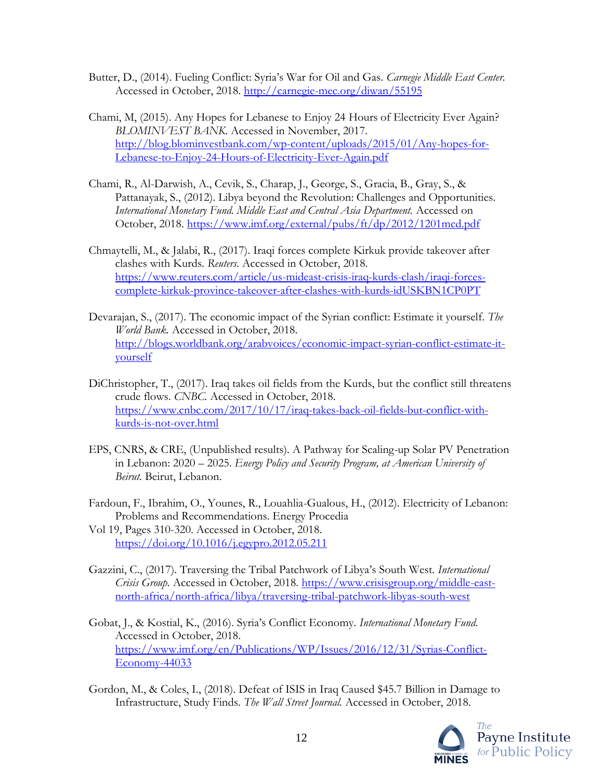- Butter, D., (2014). Fueling Conflict: Syria's War for Oil and Gas. *Carnegie Middle East Center.* Accessed in October, 2018.<http://carnegie-mec.org/diwan/55195>
- Chami, M, (2015). Any Hopes for Lebanese to Enjoy 24 Hours of Electricity Ever Again? *BLOMINVEST BANK*. Accessed in November, 2017. [http://blog.blominvestbank.com/wp-content/uploads/2015/01/Any-hopes-for-](http://blog.blominvestbank.com/wp-content/uploads/2015/01/Any-hopes-for-Lebanese-to-Enjoy-24-Hours-of-Electricity-Ever-Again.pdf)[Lebanese-to-Enjoy-24-Hours-of-Electricity-Ever-Again.pdf](http://blog.blominvestbank.com/wp-content/uploads/2015/01/Any-hopes-for-Lebanese-to-Enjoy-24-Hours-of-Electricity-Ever-Again.pdf)
- Chami, R., Al-Darwish, A., Cevik, S., Charap, J., George, S., Gracia, B., Gray, S., & Pattanayak, S., (2012). Libya beyond the Revolution: Challenges and Opportunities. *International Monetary Fund. Middle East and Central Asia Department.* Accessed on October, 2018.<https://www.imf.org/external/pubs/ft/dp/2012/1201mcd.pdf>
- Chmaytelli, M., & Jalabi, R., (2017). Iraqi forces complete Kirkuk provide takeover after clashes with Kurds. *Reuters.* Accessed in October, 2018. [https://www.reuters.com/article/us-mideast-crisis-iraq-kurds-clash/iraqi-forces](https://www.reuters.com/article/us-mideast-crisis-iraq-kurds-clash/iraqi-forces-complete-kirkuk-province-takeover-after-clashes-with-kurds-idUSKBN1CP0PT)[complete-kirkuk-province-takeover-after-clashes-with-kurds-idUSKBN1CP0PT](https://www.reuters.com/article/us-mideast-crisis-iraq-kurds-clash/iraqi-forces-complete-kirkuk-province-takeover-after-clashes-with-kurds-idUSKBN1CP0PT)
- Devarajan, S., (2017). The economic impact of the Syrian conflict: Estimate it yourself. *The World Bank.* Accessed in October, 2018. [http://blogs.worldbank.org/arabvoices/economic-impact-syrian-conflict-estimate-it](http://blogs.worldbank.org/arabvoices/economic-impact-syrian-conflict-estimate-it-yourself)[yourself](http://blogs.worldbank.org/arabvoices/economic-impact-syrian-conflict-estimate-it-yourself)
- DiChristopher, T., (2017). Iraq takes oil fields from the Kurds, but the conflict still threatens crude flows. *CNBC.* Accessed in October, 2018. [https://www.cnbc.com/2017/10/17/iraq-takes-back-oil-fields-but-conflict-with](https://www.cnbc.com/2017/10/17/iraq-takes-back-oil-fields-but-conflict-with-kurds-is-not-over.html)[kurds-is-not-over.html](https://www.cnbc.com/2017/10/17/iraq-takes-back-oil-fields-but-conflict-with-kurds-is-not-over.html)
- EPS, CNRS, & CRE, (Unpublished results). A Pathway for Scaling-up Solar PV Penetration in Lebanon: 2020 – 2025. *Energy Policy and Security Program, at American University of Beirut.* Beirut, Lebanon.
- Fardoun, F., Ibrahim, O., Younes, R., Louahlia-Gualous, H., (2012). Electricity of Lebanon: Problems and Recommendations. Energy Procedia
- Vol 19, Pages 310-320. Accessed in October, 2018. <https://doi.org/10.1016/j.egypro.2012.05.211>
- Gazzini, C., (2017). Traversing the Tribal Patchwork of Libya's South West. *International Crisis Group.* Accessed in October, 2018. [https://www.crisisgroup.org/middle-east](https://www.crisisgroup.org/middle-east-north-africa/north-africa/libya/traversing-tribal-patchwork-libyas-south-west)[north-africa/north-africa/libya/traversing-tribal-patchwork-libyas-south-west](https://www.crisisgroup.org/middle-east-north-africa/north-africa/libya/traversing-tribal-patchwork-libyas-south-west)
- Gobat, J., & Kostial, K., (2016). Syria's Conflict Economy. *International Monetary Fund.* Accessed in October, 2018. [https://www.imf.org/en/Publications/WP/Issues/2016/12/31/Syrias-Conflict-](https://www.imf.org/en/Publications/WP/Issues/2016/12/31/Syrias-Conflict-Economy-44033)[Economy-44033](https://www.imf.org/en/Publications/WP/Issues/2016/12/31/Syrias-Conflict-Economy-44033)
- Gordon, M., & Coles, I., (2018). Defeat of ISIS in Iraq Caused \$45.7 Billion in Damage to Infrastructure, Study Finds. *The Wall Street Journal.* Accessed in October, 2018.

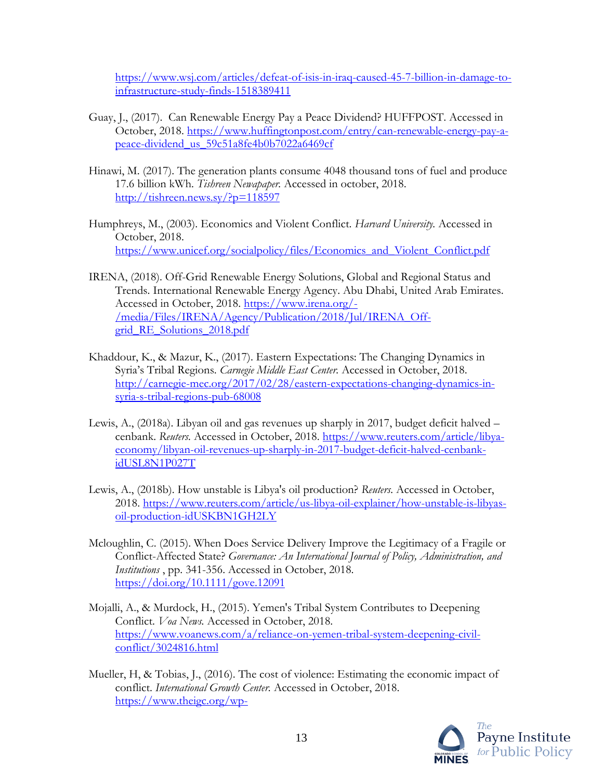[https://www.wsj.com/articles/defeat-of-isis-in-iraq-caused-45-7-billion-in-damage-to](https://www.wsj.com/articles/defeat-of-isis-in-iraq-caused-45-7-billion-in-damage-to-infrastructure-study-finds-1518389411)[infrastructure-study-finds-1518389411](https://www.wsj.com/articles/defeat-of-isis-in-iraq-caused-45-7-billion-in-damage-to-infrastructure-study-finds-1518389411)

- Guay, J., (2017). Can Renewable Energy Pay a Peace Dividend? HUFFPOST. Accessed in October, 2018. [https://www.huffingtonpost.com/entry/can-renewable-energy-pay-a](https://www.huffingtonpost.com/entry/can-renewable-energy-pay-a-peace-dividend_us_59c51a8fe4b0b7022a6469cf)[peace-dividend\\_us\\_59c51a8fe4b0b7022a6469cf](https://www.huffingtonpost.com/entry/can-renewable-energy-pay-a-peace-dividend_us_59c51a8fe4b0b7022a6469cf)
- Hinawi, M. (2017). The generation plants consume 4048 thousand tons of fuel and produce 17.6 billion kWh. *Tishreen Newapaper.* Accessed in october, 2018. <http://tishreen.news.sy/?p=118597>
- Humphreys, M., (2003). Economics and Violent Conflict. *Harvard University.* Accessed in October, 2018. [https://www.unicef.org/socialpolicy/files/Economics\\_and\\_Violent\\_Conflict.pdf](https://www.unicef.org/socialpolicy/files/Economics_and_Violent_Conflict.pdf)
- IRENA, (2018). Off-Grid Renewable Energy Solutions, Global and Regional Status and Trends. International Renewable Energy Agency. Abu Dhabi, United Arab Emirates. Accessed in October, 2018. [https://www.irena.org/-](https://www.irena.org/-/media/Files/IRENA/Agency/Publication/2018/Jul/IRENA_Off-grid_RE_Solutions_2018.pdf) [/media/Files/IRENA/Agency/Publication/2018/Jul/IRENA\\_Off](https://www.irena.org/-/media/Files/IRENA/Agency/Publication/2018/Jul/IRENA_Off-grid_RE_Solutions_2018.pdf)grid RE Solutions 2018.pdf
- Khaddour, K., & Mazur, K., (2017). Eastern Expectations: The Changing Dynamics in Syria's Tribal Regions. *Carnegie Middle East Center.* Accessed in October, 2018. [http://carnegie-mec.org/2017/02/28/eastern-expectations-changing-dynamics-in](http://carnegie-mec.org/2017/02/28/eastern-expectations-changing-dynamics-in-syria-s-tribal-regions-pub-68008)[syria-s-tribal-regions-pub-68008](http://carnegie-mec.org/2017/02/28/eastern-expectations-changing-dynamics-in-syria-s-tribal-regions-pub-68008)
- Lewis, A., (2018a). Libyan oil and gas revenues up sharply in 2017, budget deficit halved cenbank. *Reuters*. Accessed in October, 2018. [https://www.reuters.com/article/libya](https://www.reuters.com/article/libya-economy/libyan-oil-revenues-up-sharply-in-2017-budget-deficit-halved-cenbank-idUSL8N1P027T)[economy/libyan-oil-revenues-up-sharply-in-2017-budget-deficit-halved-cenbank](https://www.reuters.com/article/libya-economy/libyan-oil-revenues-up-sharply-in-2017-budget-deficit-halved-cenbank-idUSL8N1P027T)[idUSL8N1P027T](https://www.reuters.com/article/libya-economy/libyan-oil-revenues-up-sharply-in-2017-budget-deficit-halved-cenbank-idUSL8N1P027T)
- Lewis, A., (2018b). How unstable is Libya's oil production? *Reuters.* Accessed in October, 2018. [https://www.reuters.com/article/us-libya-oil-explainer/how-unstable-is-libyas](https://www.reuters.com/article/us-libya-oil-explainer/how-unstable-is-libyas-oil-production-idUSKBN1GH2LY)[oil-production-idUSKBN1GH2LY](https://www.reuters.com/article/us-libya-oil-explainer/how-unstable-is-libyas-oil-production-idUSKBN1GH2LY)
- Mcloughlin, C. (2015). When Does Service Delivery Improve the Legitimacy of a Fragile or Conflict-Affected State? *Governance: An International Journal of Policy, Administration, and Institutions* , pp. 341-356. Accessed in October, 2018. <https://doi.org/10.1111/gove.12091>
- Mojalli, A., & Murdock, H., (2015). Yemen's Tribal System Contributes to Deepening Conflict. *Voa News.* Accessed in October, 2018. [https://www.voanews.com/a/reliance-on-yemen-tribal-system-deepening-civil](https://www.voanews.com/a/reliance-on-yemen-tribal-system-deepening-civil-conflict/3024816.html)[conflict/3024816.html](https://www.voanews.com/a/reliance-on-yemen-tribal-system-deepening-civil-conflict/3024816.html)
- Mueller, H, & Tobias, J., (2016). The cost of violence: Estimating the economic impact of conflict. *International Growth Center.* Accessed in October, 2018. [https://www.theigc.org/wp-](https://www.theigc.org/wp-content/uploads/2016/12/IGCJ5023_Economic_Cost_of_Conflict_Brief_2211_v7_WEB.pdf)

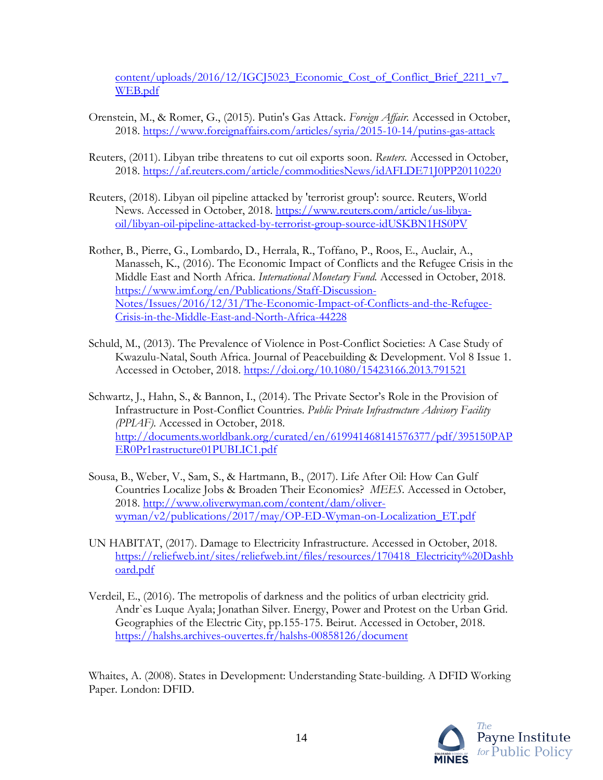[content/uploads/2016/12/IGCJ5023\\_Economic\\_Cost\\_of\\_Conflict\\_Brief\\_2211\\_v7\\_](https://www.theigc.org/wp-content/uploads/2016/12/IGCJ5023_Economic_Cost_of_Conflict_Brief_2211_v7_WEB.pdf) [WEB.pdf](https://www.theigc.org/wp-content/uploads/2016/12/IGCJ5023_Economic_Cost_of_Conflict_Brief_2211_v7_WEB.pdf)

- Orenstein, M., & Romer, G., (2015). Putin's Gas Attack. *Foreign Affair.* Accessed in October, 2018.<https://www.foreignaffairs.com/articles/syria/2015-10-14/putins-gas-attack>
- Reuters, (2011). Libyan tribe threatens to cut oil exports soon. *Reuters.* Accessed in October, 2018.<https://af.reuters.com/article/commoditiesNews/idAFLDE71J0PP20110220>
- Reuters, (2018). Libyan oil pipeline attacked by 'terrorist group': source. Reuters, World News. Accessed in October, 2018. [https://www.reuters.com/article/us-libya](https://www.reuters.com/article/us-libya-oil/libyan-oil-pipeline-attacked-by-terrorist-group-source-idUSKBN1HS0PV)[oil/libyan-oil-pipeline-attacked-by-terrorist-group-source-idUSKBN1HS0PV](https://www.reuters.com/article/us-libya-oil/libyan-oil-pipeline-attacked-by-terrorist-group-source-idUSKBN1HS0PV)
- Rother, B., Pierre, G., Lombardo, D., Herrala, R., Toffano, P., Roos, E., Auclair, A., Manasseh, K., (2016). The Economic Impact of Conflicts and the Refugee Crisis in the Middle East and North Africa. *International Monetary Fund.* Accessed in October, 2018. [https://www.imf.org/en/Publications/Staff-Discussion-](https://www.imf.org/en/Publications/Staff-Discussion-Notes/Issues/2016/12/31/The-Economic-Impact-of-Conflicts-and-the-Refugee-Crisis-in-the-Middle-East-and-North-Africa-44228)[Notes/Issues/2016/12/31/The-Economic-Impact-of-Conflicts-and-the-Refugee-](https://www.imf.org/en/Publications/Staff-Discussion-Notes/Issues/2016/12/31/The-Economic-Impact-of-Conflicts-and-the-Refugee-Crisis-in-the-Middle-East-and-North-Africa-44228)[Crisis-in-the-Middle-East-and-North-Africa-44228](https://www.imf.org/en/Publications/Staff-Discussion-Notes/Issues/2016/12/31/The-Economic-Impact-of-Conflicts-and-the-Refugee-Crisis-in-the-Middle-East-and-North-Africa-44228)
- Schuld, M., (2013). The Prevalence of Violence in Post-Conflict Societies: A Case Study of Kwazulu-Natal, South Africa. Journal of Peacebuilding & Development. Vol 8 Issue 1. Accessed in October, 2018.<https://doi.org/10.1080/15423166.2013.791521>
- Schwartz, J., Hahn, S., & Bannon, I., (2014). The Private Sector's Role in the Provision of Infrastructure in Post-Conflict Countries. *Public Private Infrastructure Advisory Facility (PPIAF).* Accessed in October, 2018. [http://documents.worldbank.org/curated/en/619941468141576377/pdf/395150PAP](http://documents.worldbank.org/curated/en/619941468141576377/pdf/395150PAPER0Pr1rastructure01PUBLIC1.pdf) [ER0Pr1rastructure01PUBLIC1.pdf](http://documents.worldbank.org/curated/en/619941468141576377/pdf/395150PAPER0Pr1rastructure01PUBLIC1.pdf)
- Sousa, B., Weber, V., Sam, S., & Hartmann, B., (2017). Life After Oil: How Can Gulf Countries Localize Jobs & Broaden Their Economies? *MEES.* Accessed in October, 2018. [http://www.oliverwyman.com/content/dam/oliver](http://www.oliverwyman.com/content/dam/oliver-wyman/v2/publications/2017/may/OP-ED-Wyman-on-Localization_ET.pdf)[wyman/v2/publications/2017/may/OP-ED-Wyman-on-Localization\\_ET.pdf](http://www.oliverwyman.com/content/dam/oliver-wyman/v2/publications/2017/may/OP-ED-Wyman-on-Localization_ET.pdf)
- UN HABITAT, (2017). Damage to Electricity Infrastructure. Accessed in October, 2018. [https://reliefweb.int/sites/reliefweb.int/files/resources/170418\\_Electricity%20Dashb](https://reliefweb.int/sites/reliefweb.int/files/resources/170418_Electricity%20Dashboard.pdf) [oard.pdf](https://reliefweb.int/sites/reliefweb.int/files/resources/170418_Electricity%20Dashboard.pdf)
- Verdeil, E., (2016). The metropolis of darkness and the politics of urban electricity grid. Andr`es Luque Ayala; Jonathan Silver. Energy, Power and Protest on the Urban Grid. Geographies of the Electric City, pp.155-175. Beirut. Accessed in October, 2018. <https://halshs.archives-ouvertes.fr/halshs-00858126/document>

Whaites, A. (2008). States in Development: Understanding State-building. A DFID Working Paper. London: DFID.

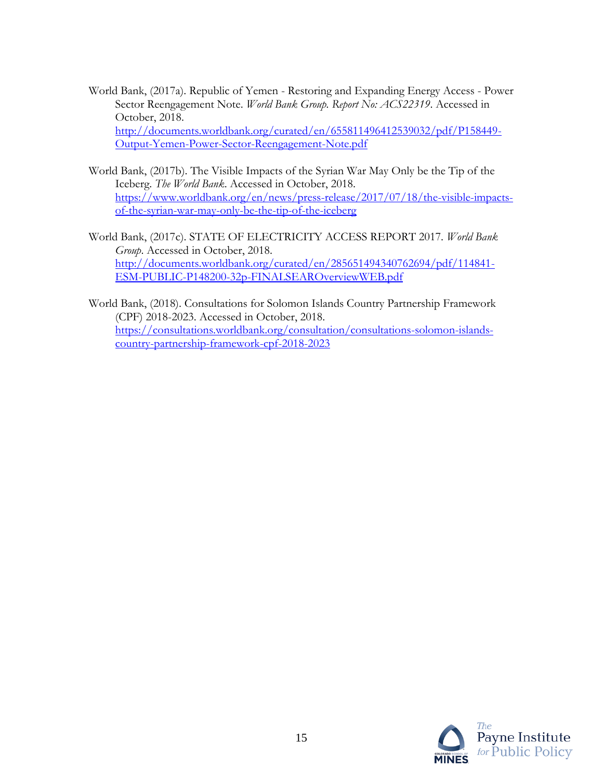- World Bank, (2017a). Republic of Yemen Restoring and Expanding Energy Access Power Sector Reengagement Note. *World Bank Group. Report No: ACS22319*. Accessed in October, 2018. [http://documents.worldbank.org/curated/en/655811496412539032/pdf/P158449-](http://documents.worldbank.org/curated/en/655811496412539032/pdf/P158449-Output-Yemen-Power-Sector-Reengagement-Note.pdf) [Output-Yemen-Power-Sector-Reengagement-Note.pdf](http://documents.worldbank.org/curated/en/655811496412539032/pdf/P158449-Output-Yemen-Power-Sector-Reengagement-Note.pdf)
- World Bank, (2017b). The Visible Impacts of the Syrian War May Only be the Tip of the Iceberg. *The World Bank*. Accessed in October, 2018. [https://www.worldbank.org/en/news/press-release/2017/07/18/the-visible-impacts](https://www.worldbank.org/en/news/press-release/2017/07/18/the-visible-impacts-of-the-syrian-war-may-only-be-the-tip-of-the-iceberg)[of-the-syrian-war-may-only-be-the-tip-of-the-iceberg](https://www.worldbank.org/en/news/press-release/2017/07/18/the-visible-impacts-of-the-syrian-war-may-only-be-the-tip-of-the-iceberg)
- World Bank, (2017c). STATE OF ELECTRICITY ACCESS REPORT 2017. *World Bank Group*. Accessed in October, 2018. [http://documents.worldbank.org/curated/en/285651494340762694/pdf/114841-](http://documents.worldbank.org/curated/en/285651494340762694/pdf/114841-ESM-PUBLIC-P148200-32p-FINALSEAROverviewWEB.pdf) [ESM-PUBLIC-P148200-32p-FINALSEAROverviewWEB.pdf](http://documents.worldbank.org/curated/en/285651494340762694/pdf/114841-ESM-PUBLIC-P148200-32p-FINALSEAROverviewWEB.pdf)
- World Bank, (2018). Consultations for Solomon Islands Country Partnership Framework (CPF) 2018-2023. Accessed in October, 2018. [https://consultations.worldbank.org/consultation/consultations-solomon-islands](https://consultations.worldbank.org/consultation/consultations-solomon-islands-country-partnership-framework-cpf-2018-2023)[country-partnership-framework-cpf-2018-2023](https://consultations.worldbank.org/consultation/consultations-solomon-islands-country-partnership-framework-cpf-2018-2023)

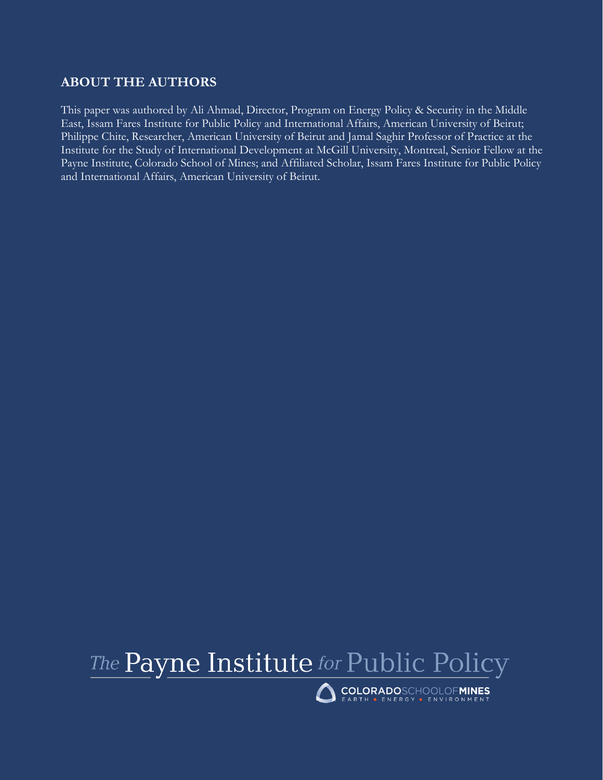## **ABOUT THE AUTHORS**

This paper was authored by Ali Ahmad, Director, Program on Energy Policy & Security in the Middle East, Issam Fares Institute for Public Policy and International Affairs, American University of Beirut; Philippe Chite, Researcher, American University of Beirut and Jamal Saghir Professor of Practice at the Institute for the Study of International Development at McGill University, Montreal, Senior Fellow at the Payne Institute, Colorado School of Mines; and Affiliated Scholar, Issam Fares Institute for Public Policy and International Affairs, American University of Beirut.



```
COLORADOSCHOOLOFMINES
```